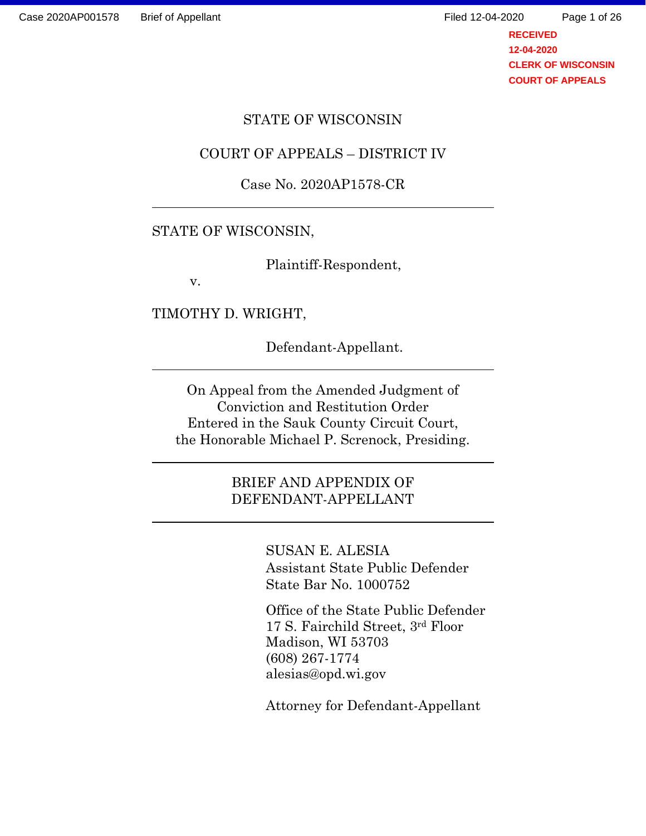**RECEIVED 12-04-2020** Page 1 of 26

**CLERK OF WISCONSIN COURT OF APPEALS**

#### STATE OF WISCONSIN

#### COURT OF APPEALS – DISTRICT IV

#### Case No. 2020AP1578-CR

#### STATE OF WISCONSIN,

Plaintiff-Respondent,

v.

TIMOTHY D. WRIGHT,

Defendant-Appellant.

On Appeal from the Amended Judgment of Conviction and Restitution Order Entered in the Sauk County Circuit Court, the Honorable Michael P. Screnock, Presiding.

> BRIEF AND APPENDIX OF DEFENDANT-APPELLANT

> > SUSAN E. ALESIA Assistant State Public Defender State Bar No. 1000752

Office of the State Public Defender 17 S. Fairchild Street, 3rd Floor Madison, WI 53703 (608) 267-1774 alesias@opd.wi.gov

Attorney for Defendant-Appellant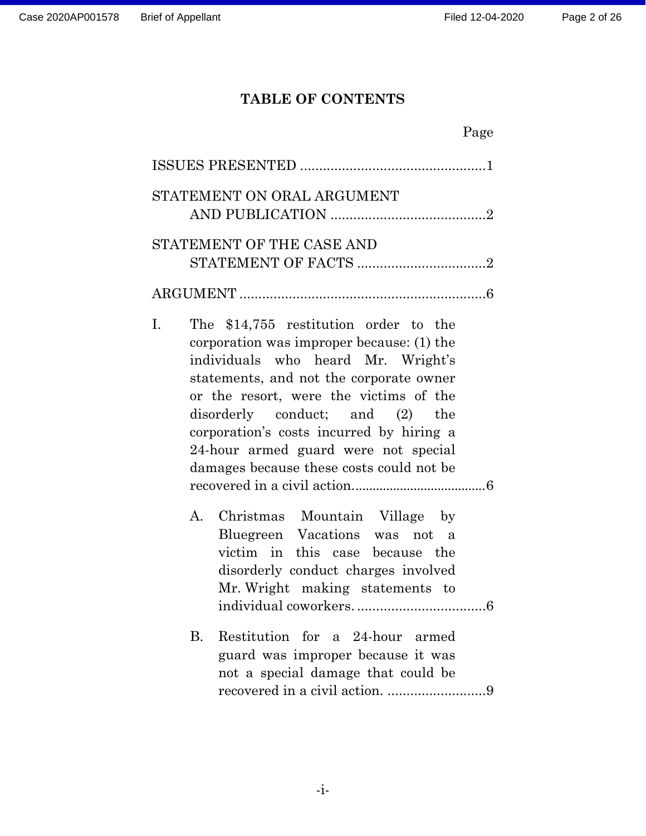# **TABLE OF CONTENTS**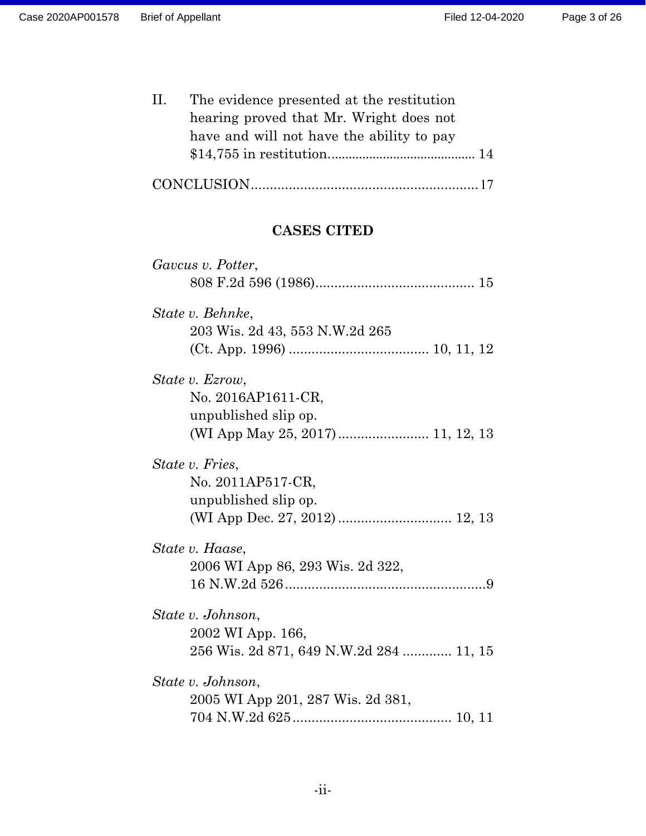| Ш. | The evidence presented at the restitution |
|----|-------------------------------------------|
|    | hearing proved that Mr. Wright does not   |
|    | have and will not have the ability to pay |
|    |                                           |
|    |                                           |

|--|--|--|

# **CASES CITED**

| Gavcus v. Potter,                       |  |
|-----------------------------------------|--|
|                                         |  |
| State v. Behnke,                        |  |
| 203 Wis. 2d 43, 553 N.W.2d 265          |  |
|                                         |  |
| State v. Ezrow,                         |  |
| No. 2016AP1611-CR,                      |  |
| unpublished slip op.                    |  |
|                                         |  |
| State v. Fries,                         |  |
| No. 2011AP517-CR,                       |  |
| unpublished slip op.                    |  |
|                                         |  |
| State v. Haase,                         |  |
| 2006 WI App 86, 293 Wis. 2d 322,        |  |
|                                         |  |
| State v. Johnson,                       |  |
| 2002 WI App. 166,                       |  |
| 256 Wis. 2d 871, 649 N.W.2d 284  11, 15 |  |
| State v. Johnson,                       |  |
| 2005 WI App 201, 287 Wis. 2d 381,       |  |
|                                         |  |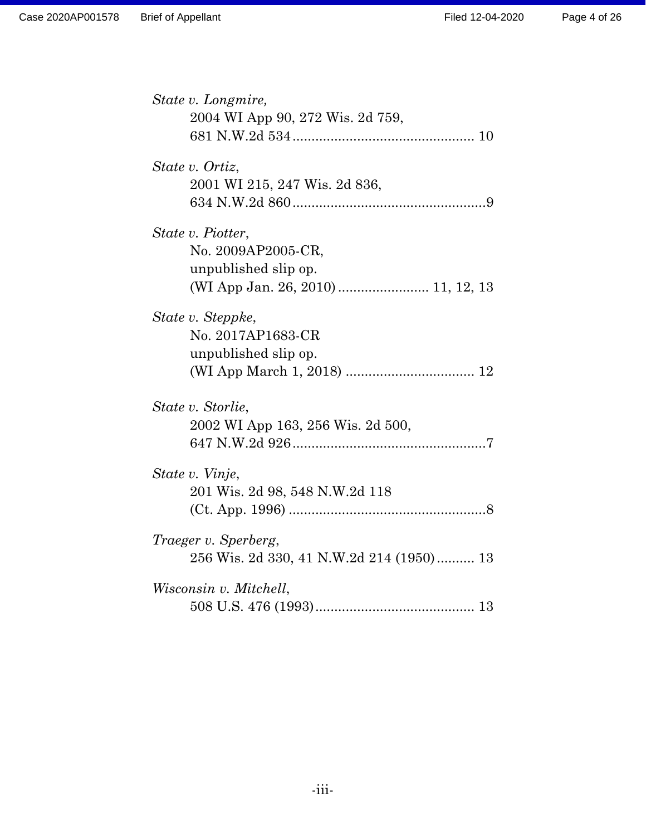| State v. Longmire,                       |
|------------------------------------------|
| 2004 WI App 90, 272 Wis. 2d 759,         |
|                                          |
|                                          |
| State v. Ortiz,                          |
| 2001 WI 215, 247 Wis. 2d 836,            |
|                                          |
|                                          |
| State v. Piotter,                        |
|                                          |
| No. 2009AP2005-CR,                       |
| unpublished slip op.                     |
| (WI App Jan. 26, 2010)  11, 12, 13       |
|                                          |
| State v. Steppke,                        |
| No. 2017AP1683-CR                        |
| unpublished slip op.                     |
|                                          |
|                                          |
| State v. Storlie,                        |
| 2002 WI App 163, 256 Wis. 2d 500,        |
|                                          |
|                                          |
| State v. Vinje,                          |
| 201 Wis. 2d 98, 548 N.W.2d 118           |
|                                          |
|                                          |
| <i>Traeger v. Sperberg,</i>              |
| 256 Wis. 2d 330, 41 N.W.2d 214 (1950) 13 |
|                                          |
| Wisconsin v. Mitchell,                   |
|                                          |
|                                          |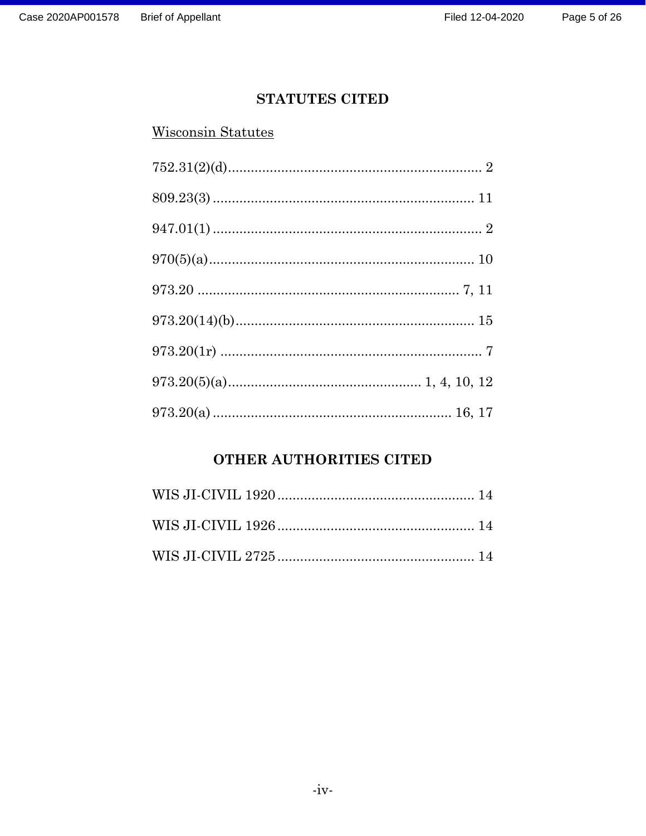# **STATUTES CITED**

## **Wisconsin Statutes**

# OTHER AUTHORITIES CITED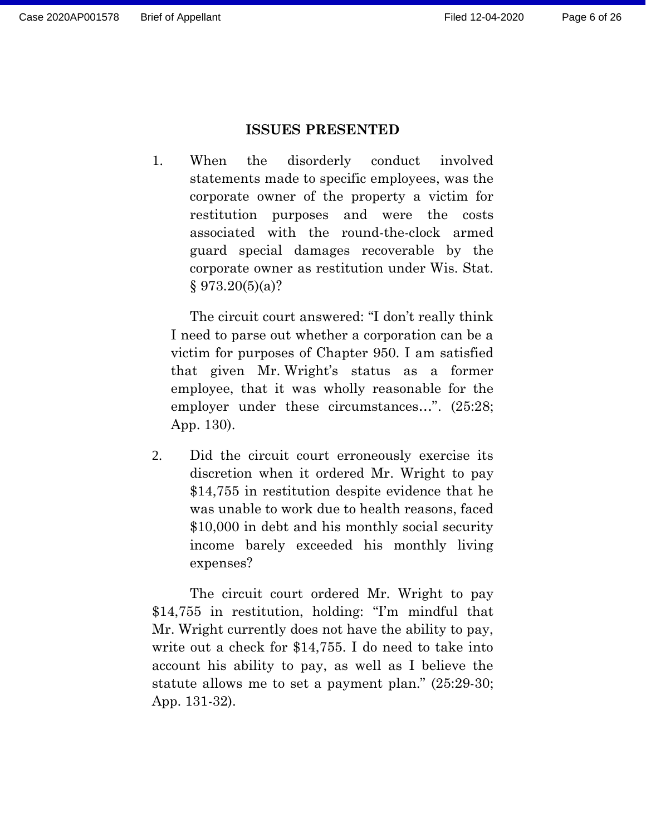#### **ISSUES PRESENTED**

1. When the disorderly conduct involved statements made to specific employees, was the corporate owner of the property a victim for restitution purposes and were the costs associated with the round-the-clock armed guard special damages recoverable by the corporate owner as restitution under Wis. Stat.  $§ 973.20(5)(a)?$ 

The circuit court answered: "I don't really think I need to parse out whether a corporation can be a victim for purposes of Chapter 950. I am satisfied that given Mr. Wright's status as a former employee, that it was wholly reasonable for the employer under these circumstances...".  $(25:28)$ ; App. 130).

2. Did the circuit court erroneously exercise its discretion when it ordered Mr. Wright to pay \$14,755 in restitution despite evidence that he was unable to work due to health reasons, faced \$10,000 in debt and his monthly social security income barely exceeded his monthly living expenses?

The circuit court ordered Mr. Wright to pay \$14,755 in restitution, holding: "I'm mindful that Mr. Wright currently does not have the ability to pay, write out a check for \$14,755. I do need to take into account his ability to pay, as well as I believe the statute allows me to set a payment plan." (25:29-30; App. 131-32).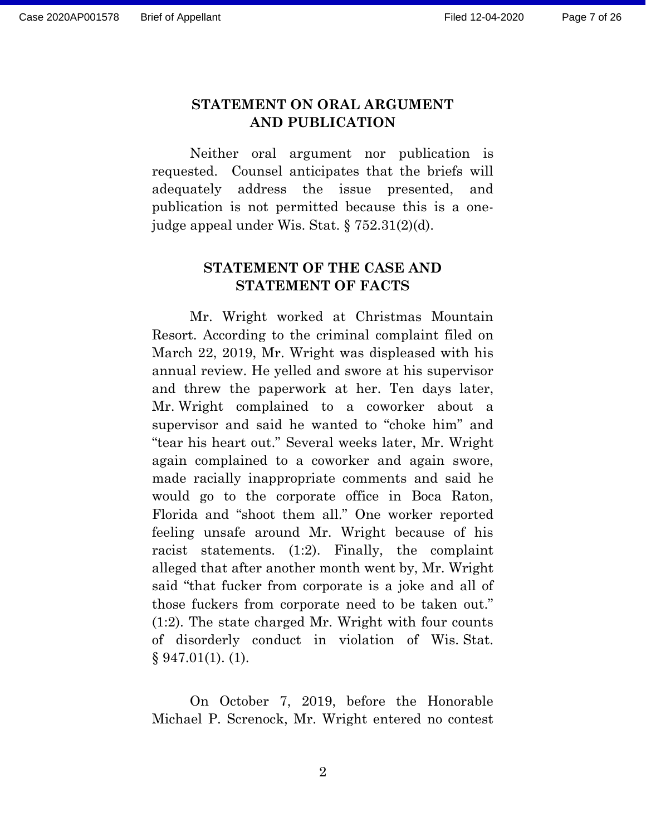## **STATEMENT ON ORAL ARGUMENT AND PUBLICATION**

Neither oral argument nor publication is requested. Counsel anticipates that the briefs will adequately address the issue presented, and publication is not permitted because this is a onejudge appeal under Wis. Stat. § 752.31(2)(d).

## **STATEMENT OF THE CASE AND STATEMENT OF FACTS**

Mr. Wright worked at Christmas Mountain Resort. According to the criminal complaint filed on March 22, 2019, Mr. Wright was displeased with his annual review. He yelled and swore at his supervisor and threw the paperwork at her. Ten days later, Mr. Wright complained to a coworker about a supervisor and said he wanted to "choke him" and "tear his heart out." Several weeks later, Mr. Wright again complained to a coworker and again swore, made racially inappropriate comments and said he would go to the corporate office in Boca Raton, Florida and "shoot them all." One worker reported feeling unsafe around Mr. Wright because of his racist statements. (1:2). Finally, the complaint alleged that after another month went by, Mr. Wright said "that fucker from corporate is a joke and all of those fuckers from corporate need to be taken out." (1:2). The state charged Mr. Wright with four counts of disorderly conduct in violation of Wis. Stat.  $§ 947.01(1)$ . (1).

On October 7, 2019, before the Honorable Michael P. Screnock, Mr. Wright entered no contest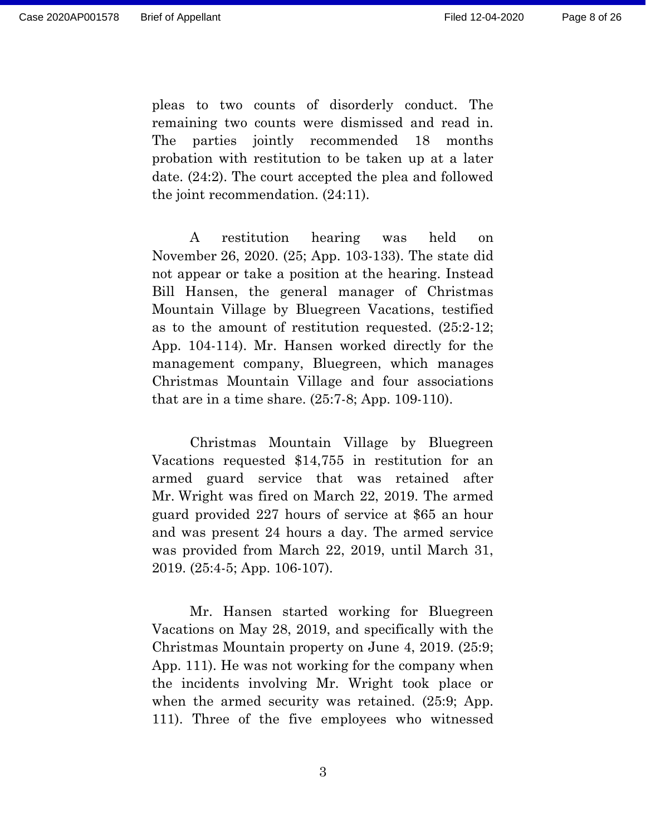Page 8 of 26

pleas to two counts of disorderly conduct. The remaining two counts were dismissed and read in. The parties jointly recommended 18 months probation with restitution to be taken up at a later date. (24:2). The court accepted the plea and followed the joint recommendation. (24:11).

A restitution hearing was held on November 26, 2020. (25; App. 103-133). The state did not appear or take a position at the hearing. Instead Bill Hansen, the general manager of Christmas Mountain Village by Bluegreen Vacations, testified as to the amount of restitution requested. (25:2-12; App. 104-114). Mr. Hansen worked directly for the management company, Bluegreen, which manages Christmas Mountain Village and four associations that are in a time share. (25:7-8; App. 109-110).

Christmas Mountain Village by Bluegreen Vacations requested \$14,755 in restitution for an armed guard service that was retained after Mr. Wright was fired on March 22, 2019. The armed guard provided 227 hours of service at \$65 an hour and was present 24 hours a day. The armed service was provided from March 22, 2019, until March 31, 2019. (25:4-5; App. 106-107).

Mr. Hansen started working for Bluegreen Vacations on May 28, 2019, and specifically with the Christmas Mountain property on June 4, 2019. (25:9; App. 111). He was not working for the company when the incidents involving Mr. Wright took place or when the armed security was retained. (25:9; App. 111). Three of the five employees who witnessed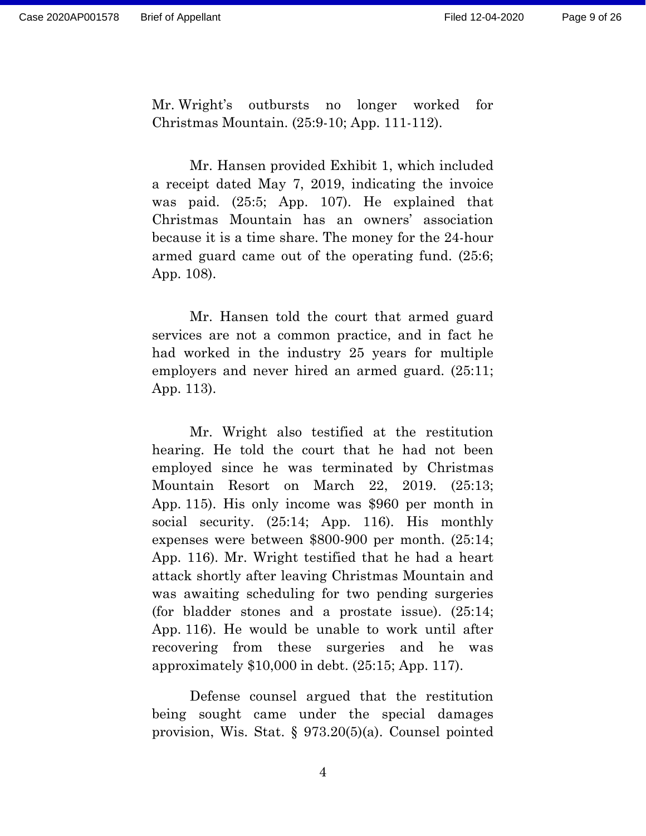Mr. Wright's outbursts no longer worked for Christmas Mountain. (25:9-10; App. 111-112).

Mr. Hansen provided Exhibit 1, which included a receipt dated May 7, 2019, indicating the invoice was paid. (25:5; App. 107). He explained that Christmas Mountain has an owners' association because it is a time share. The money for the 24-hour armed guard came out of the operating fund. (25:6; App. 108).

Mr. Hansen told the court that armed guard services are not a common practice, and in fact he had worked in the industry 25 years for multiple employers and never hired an armed guard. (25:11; App. 113).

Mr. Wright also testified at the restitution hearing. He told the court that he had not been employed since he was terminated by Christmas Mountain Resort on March 22, 2019. (25:13; App. 115). His only income was \$960 per month in social security.  $(25:14;$  App. 116). His monthly expenses were between \$800-900 per month. (25:14; App. 116). Mr. Wright testified that he had a heart attack shortly after leaving Christmas Mountain and was awaiting scheduling for two pending surgeries (for bladder stones and a prostate issue). (25:14; App. 116). He would be unable to work until after recovering from these surgeries and he was approximately \$10,000 in debt. (25:15; App. 117).

Defense counsel argued that the restitution being sought came under the special damages provision, Wis. Stat. § 973.20(5)(a). Counsel pointed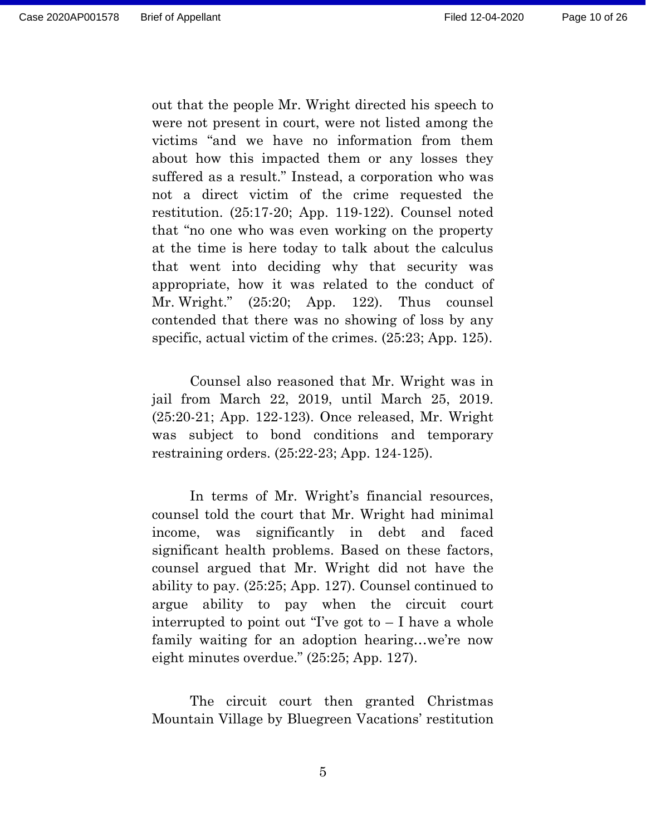out that the people Mr. Wright directed his speech to were not present in court, were not listed among the victims "and we have no information from them about how this impacted them or any losses they suffered as a result." Instead, a corporation who was not a direct victim of the crime requested the restitution. (25:17-20; App. 119-122). Counsel noted that "no one who was even working on the property at the time is here today to talk about the calculus that went into deciding why that security was appropriate, how it was related to the conduct of Mr. Wright." (25:20; App. 122). Thus counsel contended that there was no showing of loss by any specific, actual victim of the crimes. (25:23; App. 125).

Counsel also reasoned that Mr. Wright was in jail from March 22, 2019, until March 25, 2019. (25:20-21; App. 122-123). Once released, Mr. Wright was subject to bond conditions and temporary restraining orders. (25:22-23; App. 124-125).

In terms of Mr. Wright's financial resources, counsel told the court that Mr. Wright had minimal income, was significantly in debt and faced significant health problems. Based on these factors, counsel argued that Mr. Wright did not have the ability to pay. (25:25; App. 127). Counsel continued to argue ability to pay when the circuit court interrupted to point out "I've got to  $-I$  have a whole family waiting for an adoption hearing…we're now eight minutes overdue." (25:25; App. 127).

The circuit court then granted Christmas Mountain Village by Bluegreen Vacations' restitution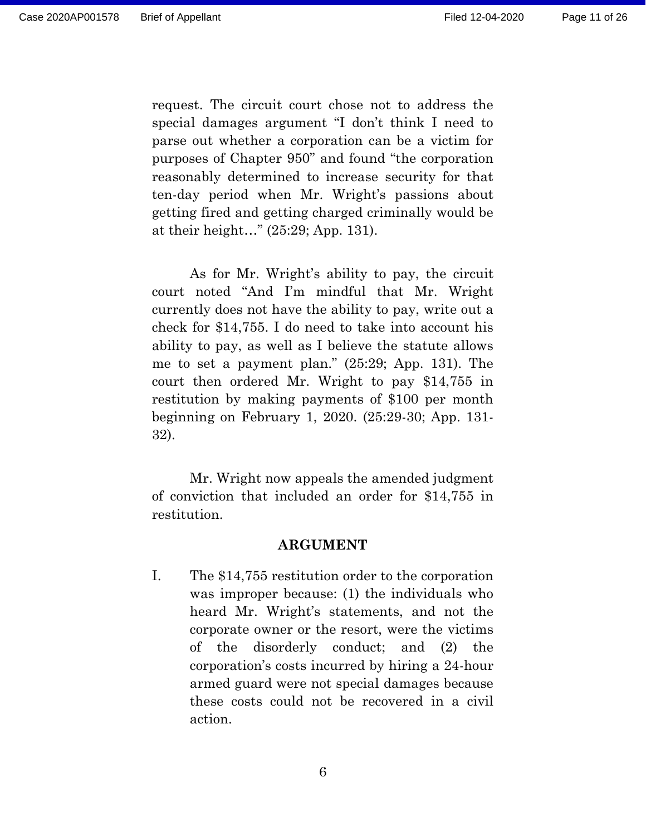request. The circuit court chose not to address the special damages argument "I don't think I need to parse out whether a corporation can be a victim for purposes of Chapter 950" and found "the corporation reasonably determined to increase security for that ten-day period when Mr. Wright's passions about getting fired and getting charged criminally would be at their height…" (25:29; App. 131).

As for Mr. Wright's ability to pay, the circuit court noted "And I'm mindful that Mr. Wright currently does not have the ability to pay, write out a check for \$14,755. I do need to take into account his ability to pay, as well as I believe the statute allows me to set a payment plan." (25:29; App. 131). The court then ordered Mr. Wright to pay \$14,755 in restitution by making payments of \$100 per month beginning on February 1, 2020. (25:29-30; App. 131- 32).

Mr. Wright now appeals the amended judgment of conviction that included an order for \$14,755 in restitution.

#### **ARGUMENT**

I. The \$14,755 restitution order to the corporation was improper because: (1) the individuals who heard Mr. Wright's statements, and not the corporate owner or the resort, were the victims of the disorderly conduct; and (2) the corporation's costs incurred by hiring a 24-hour armed guard were not special damages because these costs could not be recovered in a civil action.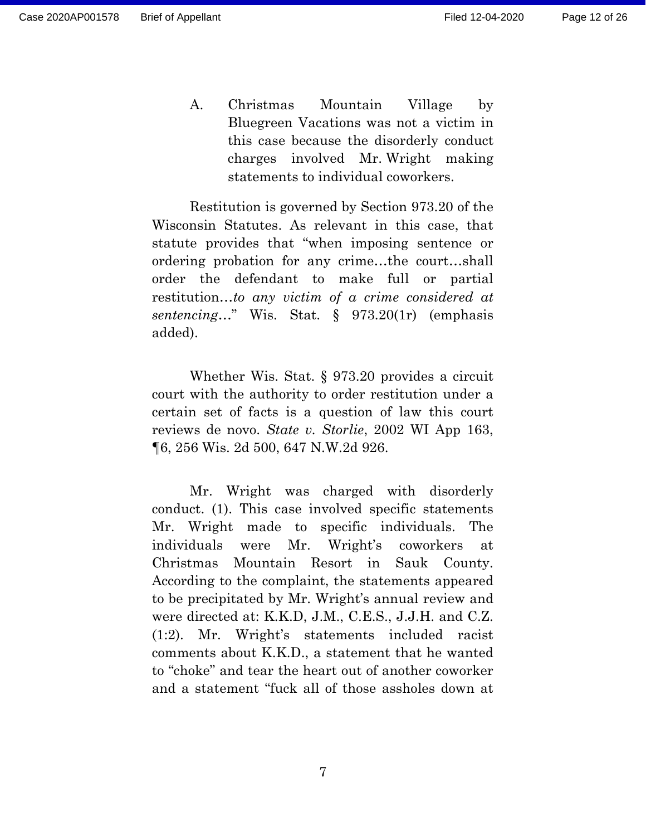A. Christmas Mountain Village by Bluegreen Vacations was not a victim in this case because the disorderly conduct charges involved Mr. Wright making statements to individual coworkers.

Restitution is governed by Section 973.20 of the Wisconsin Statutes. As relevant in this case, that statute provides that "when imposing sentence or ordering probation for any crime…the court…shall order the defendant to make full or partial restitution…*to any victim of a crime considered at sentencing*…" Wis. Stat. § 973.20(1r) (emphasis added).

Whether Wis. Stat. § 973.20 provides a circuit court with the authority to order restitution under a certain set of facts is a question of law this court reviews de novo. *State v. Storlie*, 2002 WI App 163, ¶6, 256 Wis. 2d 500, 647 N.W.2d 926.

Mr. Wright was charged with disorderly conduct. (1). This case involved specific statements Mr. Wright made to specific individuals. The individuals were Mr. Wright's coworkers at Christmas Mountain Resort in Sauk County. According to the complaint, the statements appeared to be precipitated by Mr. Wright's annual review and were directed at: K.K.D, J.M., C.E.S., J.J.H. and C.Z. (1:2). Mr. Wright's statements included racist comments about K.K.D., a statement that he wanted to "choke" and tear the heart out of another coworker and a statement "fuck all of those assholes down at

7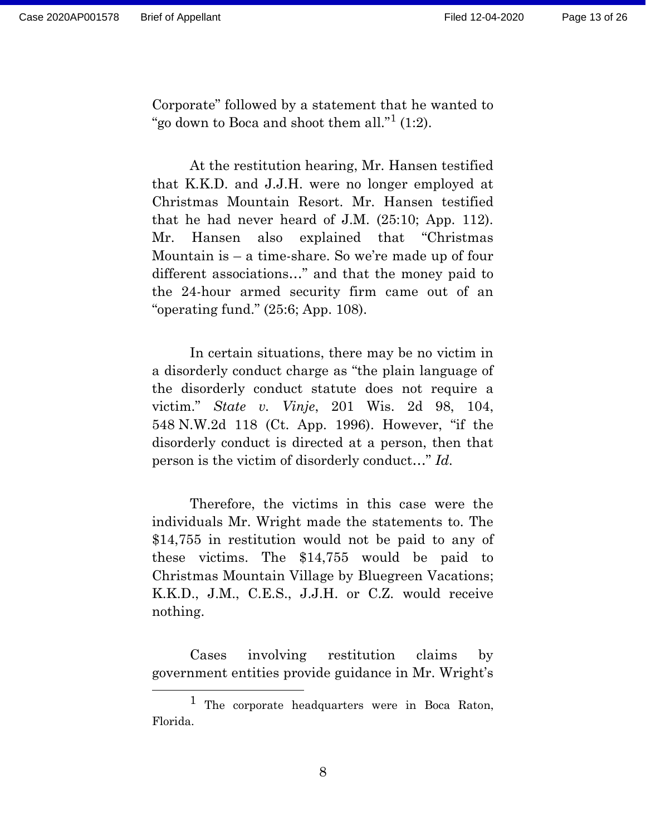Corporate" followed by a statement that he wanted to "go down to Boca and shoot them all."<sup>1</sup> (1:2).

At the restitution hearing, Mr. Hansen testified that K.K.D. and J.J.H. were no longer employed at Christmas Mountain Resort. Mr. Hansen testified that he had never heard of J.M. (25:10; App. 112). Mr. Hansen also explained that "Christmas Mountain is – a time-share. So we're made up of four different associations…" and that the money paid to the 24-hour armed security firm came out of an "operating fund." (25:6; App. 108).

In certain situations, there may be no victim in a disorderly conduct charge as "the plain language of the disorderly conduct statute does not require a victim." *State v. Vinje*, 201 Wis. 2d 98, 104, 548 N.W.2d 118 (Ct. App. 1996). However, "if the disorderly conduct is directed at a person, then that person is the victim of disorderly conduct…" *Id.*

Therefore, the victims in this case were the individuals Mr. Wright made the statements to. The \$14,755 in restitution would not be paid to any of these victims. The \$14,755 would be paid to Christmas Mountain Village by Bluegreen Vacations; K.K.D., J.M., C.E.S., J.J.H. or C.Z. would receive nothing.

Cases involving restitution claims by government entities provide guidance in Mr. Wright's

<sup>1</sup> The corporate headquarters were in Boca Raton, Florida.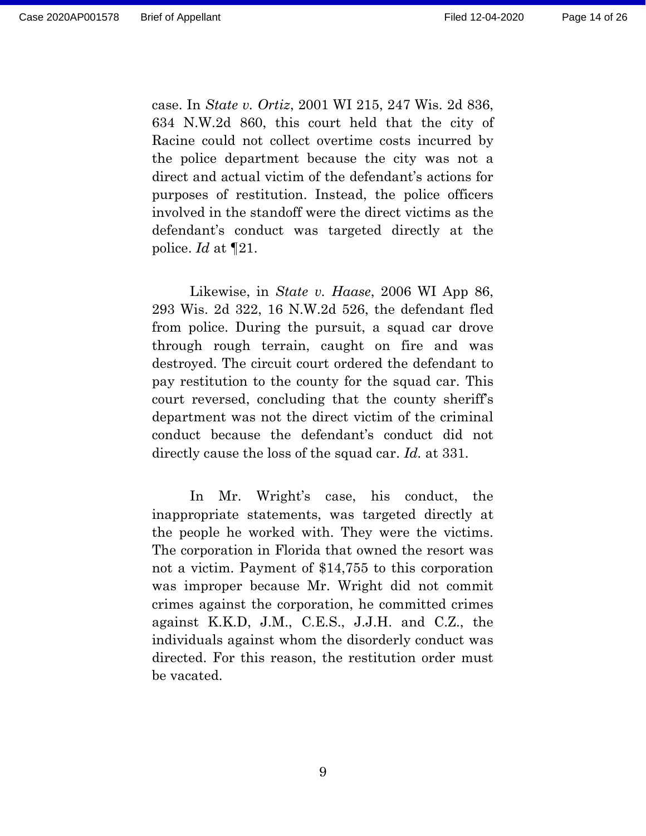case. In *State v. Ortiz*, 2001 WI 215, 247 Wis. 2d 836, 634 N.W.2d 860, this court held that the city of Racine could not collect overtime costs incurred by the police department because the city was not a direct and actual victim of the defendant's actions for purposes of restitution. Instead, the police officers involved in the standoff were the direct victims as the defendant's conduct was targeted directly at the police. *Id* at ¶21.

Likewise, in *State v. Haase*, 2006 WI App 86, 293 Wis. 2d 322, 16 N.W.2d 526, the defendant fled from police. During the pursuit, a squad car drove through rough terrain, caught on fire and was destroyed. The circuit court ordered the defendant to pay restitution to the county for the squad car. This court reversed, concluding that the county sheriff's department was not the direct victim of the criminal conduct because the defendant's conduct did not directly cause the loss of the squad car. *Id.* at 331.

In Mr. Wright's case, his conduct, the inappropriate statements, was targeted directly at the people he worked with. They were the victims. The corporation in Florida that owned the resort was not a victim. Payment of \$14,755 to this corporation was improper because Mr. Wright did not commit crimes against the corporation, he committed crimes against K.K.D, J.M., C.E.S., J.J.H. and C.Z., the individuals against whom the disorderly conduct was directed. For this reason, the restitution order must be vacated.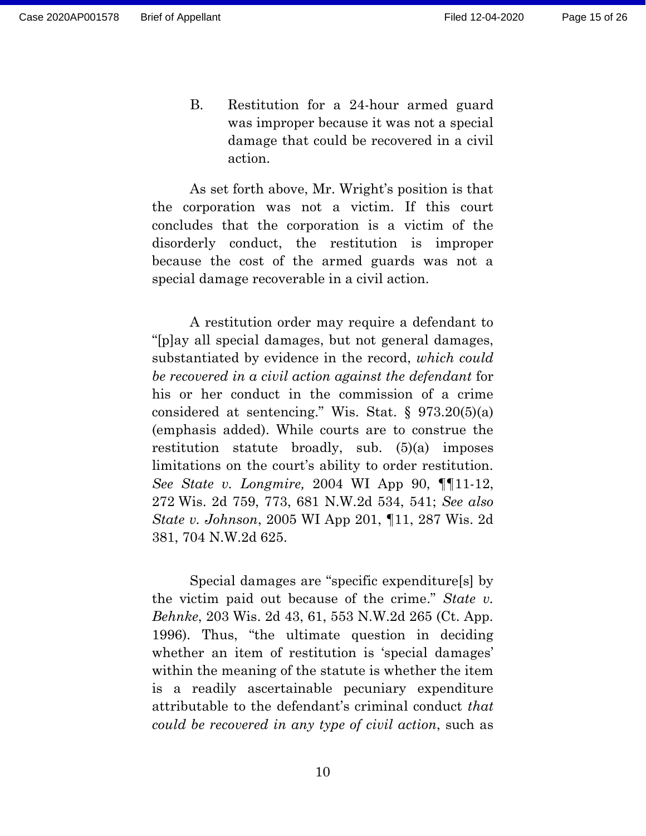B. Restitution for a 24-hour armed guard was improper because it was not a special damage that could be recovered in a civil action.

As set forth above, Mr. Wright's position is that the corporation was not a victim. If this court concludes that the corporation is a victim of the disorderly conduct, the restitution is improper because the cost of the armed guards was not a special damage recoverable in a civil action.

A restitution order may require a defendant to "[p]ay all special damages, but not general damages, substantiated by evidence in the record, *which could be recovered in a civil action against the defendant* for his or her conduct in the commission of a crime considered at sentencing." Wis. Stat. § 973.20(5)(a) (emphasis added). While courts are to construe the restitution statute broadly, sub. (5)(a) imposes limitations on the court's ability to order restitution. *See State v. Longmire,* 2004 WI App 90, ¶¶11-12, 272 Wis. 2d 759, 773, 681 N.W.2d 534, 541; *See also State v. Johnson*, 2005 WI App 201, ¶11, 287 Wis. 2d 381, 704 N.W.2d 625.

Special damages are "specific expenditure[s] by the victim paid out because of the crime." *State v. Behnke*, 203 Wis. 2d 43, 61, 553 N.W.2d 265 (Ct. App. 1996). Thus, "the ultimate question in deciding whether an item of restitution is 'special damages' within the meaning of the statute is whether the item is a readily ascertainable pecuniary expenditure attributable to the defendant's criminal conduct *that could be recovered in any type of civil action*, such as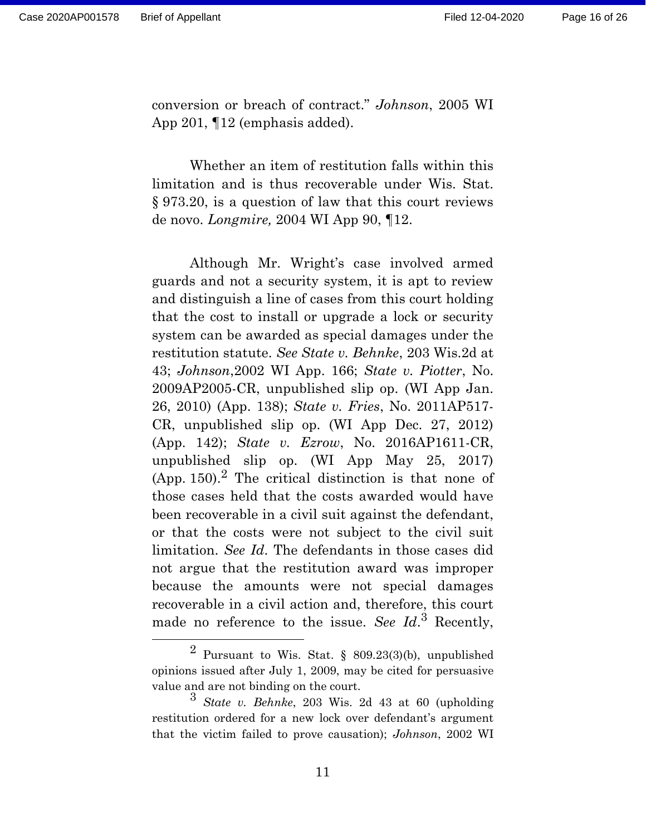conversion or breach of contract." *Johnson*, 2005 WI App 201, ¶12 (emphasis added).

Whether an item of restitution falls within this limitation and is thus recoverable under Wis. Stat. § 973.20, is a question of law that this court reviews de novo. *Longmire,* 2004 WI App 90, ¶12.

Although Mr. Wright's case involved armed guards and not a security system, it is apt to review and distinguish a line of cases from this court holding that the cost to install or upgrade a lock or security system can be awarded as special damages under the restitution statute. *See State v. Behnke*, 203 Wis.2d at 43; *Johnson*,2002 WI App. 166; *State v. Piotter*, No. 2009AP2005-CR, unpublished slip op. (WI App Jan. 26, 2010) (App. 138); *State v. Fries*, No. 2011AP517- CR, unpublished slip op. (WI App Dec. 27, 2012) (App. 142); *State v. Ezrow*, No. 2016AP1611-CR, unpublished slip op. (WI App May 25, 2017)  $(App. 150).<sup>2</sup>$  The critical distinction is that none of those cases held that the costs awarded would have been recoverable in a civil suit against the defendant, or that the costs were not subject to the civil suit limitation. *See Id*. The defendants in those cases did not argue that the restitution award was improper because the amounts were not special damages recoverable in a civil action and, therefore, this court made no reference to the issue. *See Id*. <sup>3</sup> Recently,

<sup>2</sup> Pursuant to Wis. Stat. § 809.23(3)(b), unpublished opinions issued after July 1, 2009, may be cited for persuasive value and are not binding on the court.

<sup>3</sup> *State v. Behnke*, 203 Wis. 2d 43 at 60 (upholding restitution ordered for a new lock over defendant's argument that the victim failed to prove causation); *Johnson*, 2002 WI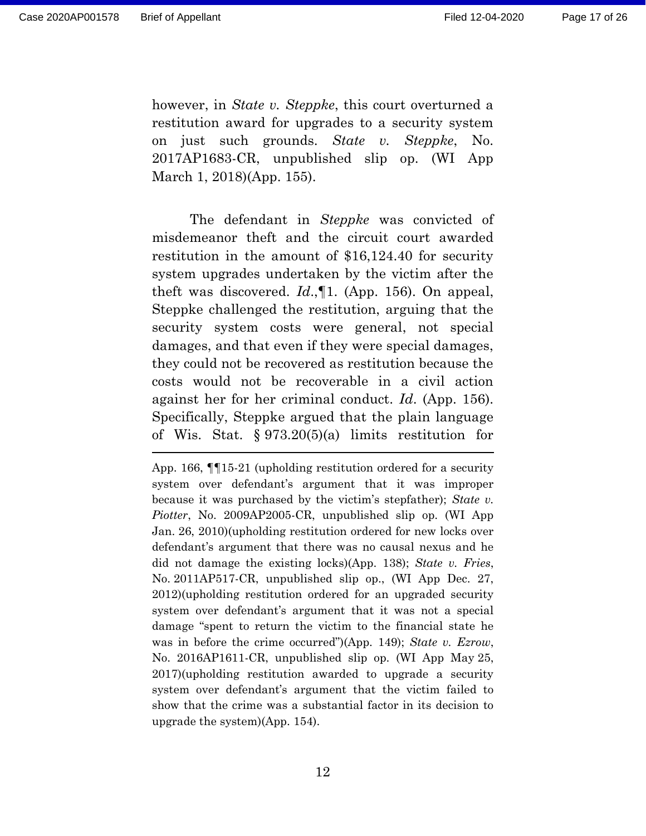however, in *State v. Steppke*, this court overturned a restitution award for upgrades to a security system on just such grounds. *State v. Steppke*, No. 2017AP1683-CR, unpublished slip op. (WI App March 1, 2018)(App. 155).

The defendant in *Steppke* was convicted of misdemeanor theft and the circuit court awarded restitution in the amount of \$16,124.40 for security system upgrades undertaken by the victim after the theft was discovered. *Id*.,¶1. (App. 156). On appeal, Steppke challenged the restitution, arguing that the security system costs were general, not special damages, and that even if they were special damages, they could not be recovered as restitution because the costs would not be recoverable in a civil action against her for her criminal conduct. *Id*. (App. 156). Specifically, Steppke argued that the plain language of Wis. Stat. § 973.20(5)(a) limits restitution for

App. 166, ¶¶15-21 (upholding restitution ordered for a security system over defendant's argument that it was improper because it was purchased by the victim's stepfather); *State v. Piotter*, No. 2009AP2005-CR, unpublished slip op. (WI App Jan. 26, 2010)(upholding restitution ordered for new locks over defendant's argument that there was no causal nexus and he did not damage the existing locks)(App. 138); *State v. Fries*, No. 2011AP517-CR, unpublished slip op., (WI App Dec. 27, 2012)(upholding restitution ordered for an upgraded security system over defendant's argument that it was not a special damage "spent to return the victim to the financial state he was in before the crime occurred")(App. 149); *State v. Ezrow*, No. 2016AP1611-CR, unpublished slip op. (WI App May 25, 2017)(upholding restitution awarded to upgrade a security system over defendant's argument that the victim failed to show that the crime was a substantial factor in its decision to upgrade the system)(App. 154).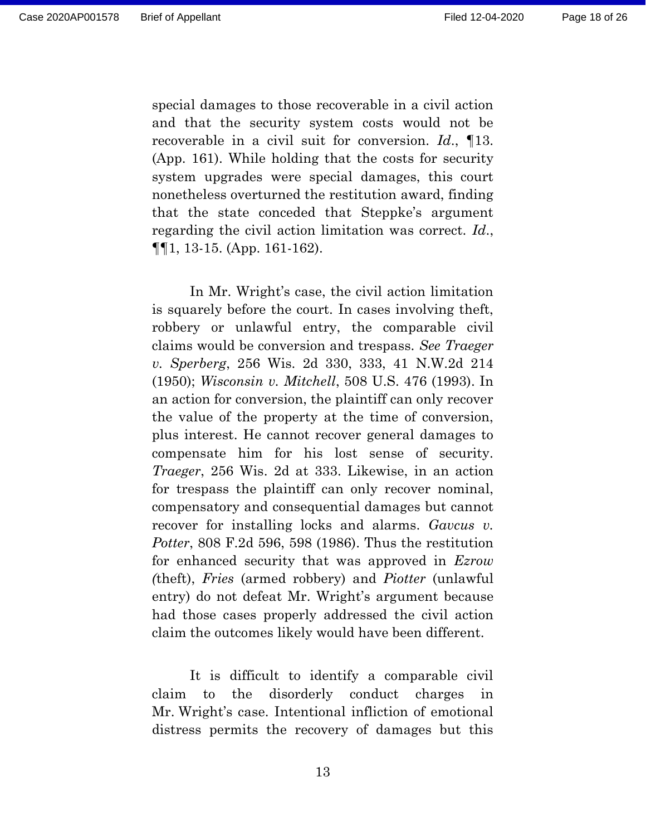special damages to those recoverable in a civil action and that the security system costs would not be recoverable in a civil suit for conversion. *Id*., ¶13. (App. 161). While holding that the costs for security system upgrades were special damages, this court nonetheless overturned the restitution award, finding that the state conceded that Steppke's argument regarding the civil action limitation was correct. *Id*., ¶¶1, 13-15. (App. 161-162).

In Mr. Wright's case, the civil action limitation is squarely before the court. In cases involving theft, robbery or unlawful entry, the comparable civil claims would be conversion and trespass. *See Traeger v. Sperberg*, 256 Wis. 2d 330, 333, 41 N.W.2d 214 (1950); *Wisconsin v. Mitchell*, 508 U.S. 476 (1993). In an action for conversion, the plaintiff can only recover the value of the property at the time of conversion, plus interest. He cannot recover general damages to compensate him for his lost sense of security. *Traeger*, 256 Wis. 2d at 333. Likewise, in an action for trespass the plaintiff can only recover nominal, compensatory and consequential damages but cannot recover for installing locks and alarms. *Gavcus v. Potter*, 808 F.2d 596, 598 (1986). Thus the restitution for enhanced security that was approved in *Ezrow (*theft), *Fries* (armed robbery) and *Piotter* (unlawful entry) do not defeat Mr. Wright's argument because had those cases properly addressed the civil action claim the outcomes likely would have been different.

It is difficult to identify a comparable civil claim to the disorderly conduct charges in Mr. Wright's case. Intentional infliction of emotional distress permits the recovery of damages but this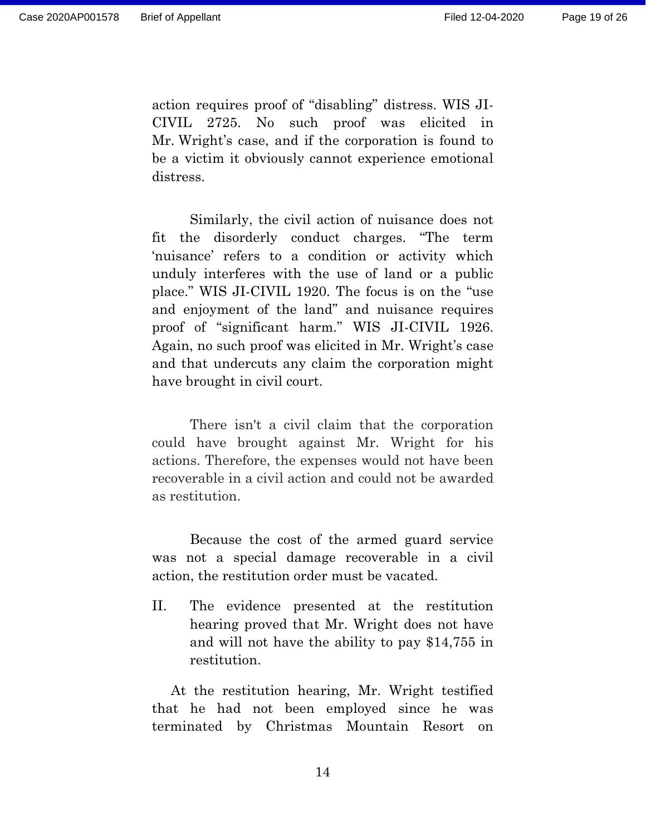action requires proof of "disabling" distress. WIS JI-CIVIL 2725. No such proof was elicited in Mr. Wright's case, and if the corporation is found to be a victim it obviously cannot experience emotional distress.

Similarly, the civil action of nuisance does not fit the disorderly conduct charges. "The term 'nuisance' refers to a condition or activity which unduly interferes with the use of land or a public place." WIS JI-CIVIL 1920. The focus is on the "use and enjoyment of the land" and nuisance requires proof of "significant harm." WIS JI-CIVIL 1926. Again, no such proof was elicited in Mr. Wright's case and that undercuts any claim the corporation might have brought in civil court.

There isn't a civil claim that the corporation could have brought against Mr. Wright for his actions. Therefore, the expenses would not have been recoverable in a civil action and could not be awarded as restitution.

Because the cost of the armed guard service was not a special damage recoverable in a civil action, the restitution order must be vacated.

II. The evidence presented at the restitution hearing proved that Mr. Wright does not have and will not have the ability to pay \$14,755 in restitution.

At the restitution hearing, Mr. Wright testified that he had not been employed since he was terminated by Christmas Mountain Resort on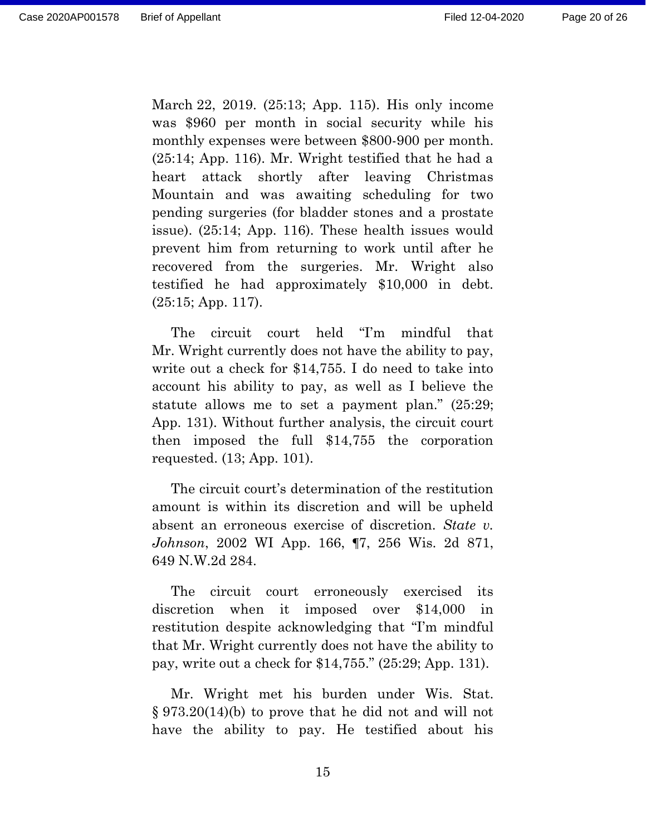March 22, 2019. (25:13; App. 115). His only income was \$960 per month in social security while his monthly expenses were between \$800-900 per month. (25:14; App. 116). Mr. Wright testified that he had a heart attack shortly after leaving Christmas Mountain and was awaiting scheduling for two pending surgeries (for bladder stones and a prostate issue). (25:14; App. 116). These health issues would prevent him from returning to work until after he recovered from the surgeries. Mr. Wright also testified he had approximately \$10,000 in debt. (25:15; App. 117).

The circuit court held "I'm mindful that Mr. Wright currently does not have the ability to pay, write out a check for \$14,755. I do need to take into account his ability to pay, as well as I believe the statute allows me to set a payment plan." (25:29; App. 131). Without further analysis, the circuit court then imposed the full \$14,755 the corporation requested. (13; App. 101).

The circuit court's determination of the restitution amount is within its discretion and will be upheld absent an erroneous exercise of discretion. *State v. Johnson*, 2002 WI App. 166, ¶7, 256 Wis. 2d 871, 649 N.W.2d 284.

The circuit court erroneously exercised its discretion when it imposed over \$14,000 in restitution despite acknowledging that "I'm mindful that Mr. Wright currently does not have the ability to pay, write out a check for \$14,755." (25:29; App. 131).

Mr. Wright met his burden under Wis. Stat. § 973.20(14)(b) to prove that he did not and will not have the ability to pay. He testified about his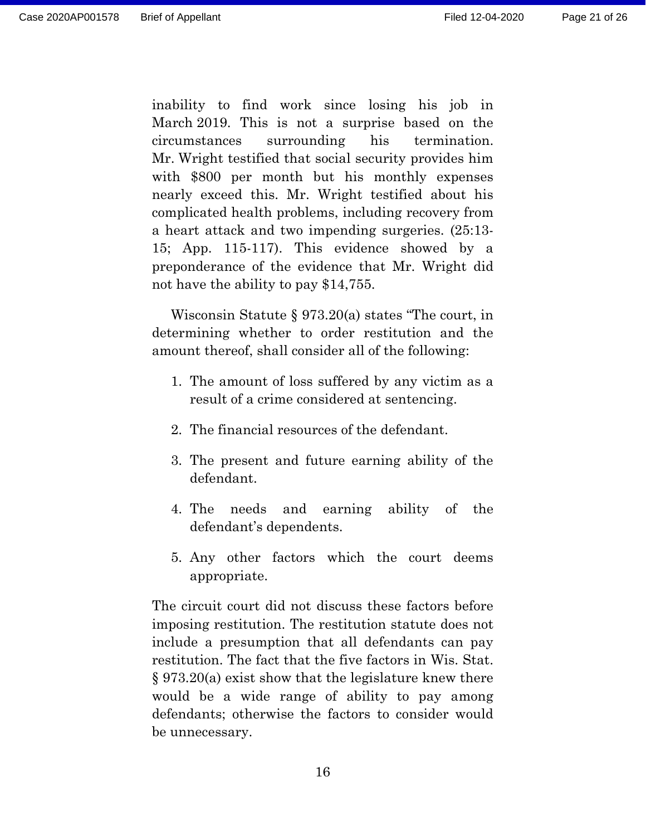inability to find work since losing his job in March 2019. This is not a surprise based on the circumstances surrounding his termination. Mr. Wright testified that social security provides him with \$800 per month but his monthly expenses nearly exceed this. Mr. Wright testified about his complicated health problems, including recovery from a heart attack and two impending surgeries. (25:13- 15; App. 115-117). This evidence showed by a preponderance of the evidence that Mr. Wright did not have the ability to pay \$14,755.

Wisconsin Statute § 973.20(a) states "The court, in determining whether to order restitution and the amount thereof, shall consider all of the following:

- 1. The amount of loss suffered by any victim as a result of a crime considered at sentencing.
- 2. The financial resources of the defendant.
- 3. The present and future earning ability of the defendant.
- 4. The needs and earning ability of the defendant's dependents.
- 5. Any other factors which the court deems appropriate.

The circuit court did not discuss these factors before imposing restitution. The restitution statute does not include a presumption that all defendants can pay restitution. The fact that the five factors in Wis. Stat. § 973.20(a) exist show that the legislature knew there would be a wide range of ability to pay among defendants; otherwise the factors to consider would be unnecessary.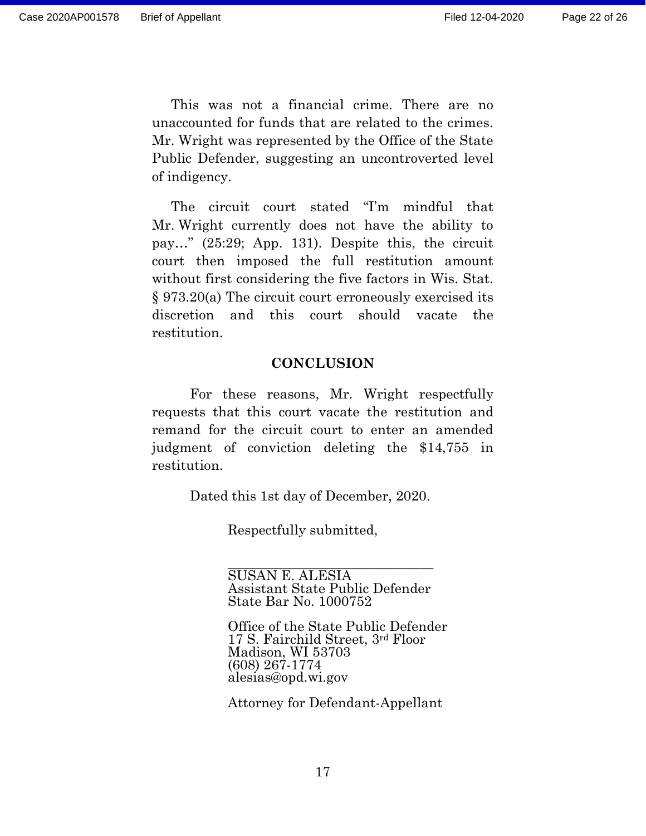This was not a financial crime. There are no unaccounted for funds that are related to the crimes. Mr. Wright was represented by the Office of the State Public Defender, suggesting an uncontroverted level of indigency.

The circuit court stated "I'm mindful that Mr. Wright currently does not have the ability to pay…" (25:29; App. 131). Despite this, the circuit court then imposed the full restitution amount without first considering the five factors in Wis. Stat. § 973.20(a) The circuit court erroneously exercised its discretion and this court should vacate the restitution.

#### **CONCLUSION**

For these reasons, Mr. Wright respectfully requests that this court vacate the restitution and remand for the circuit court to enter an amended judgment of conviction deleting the \$14,755 in restitution.

Dated this 1st day of December, 2020.

Respectfully submitted,

\_\_\_\_\_\_\_\_\_\_\_\_\_\_\_\_\_\_\_\_\_\_\_\_\_\_\_\_\_\_ SUSAN E. ALESIA Assistant State Public Defender State Bar No. 1000752

Office of the State Public Defender 17 S. Fairchild Street, 3rd Floor Madison, WI 53703 (608) 267-1774 alesias@opd.wi.gov

Attorney for Defendant-Appellant

17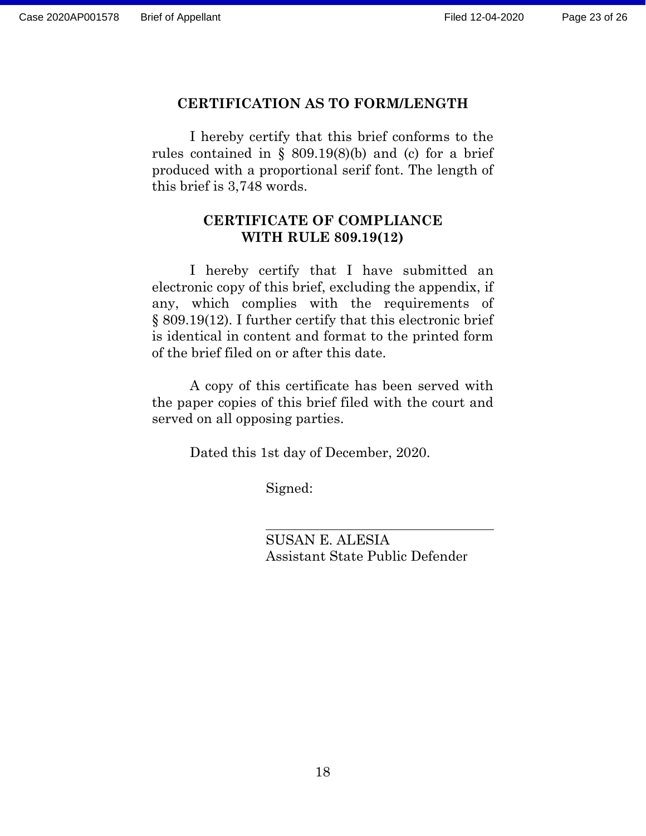## **CERTIFICATION AS TO FORM/LENGTH**

I hereby certify that this brief conforms to the rules contained in  $\S$  809.19(8)(b) and (c) for a brief produced with a proportional serif font. The length of this brief is 3,748 words.

## **CERTIFICATE OF COMPLIANCE WITH RULE 809.19(12)**

I hereby certify that I have submitted an electronic copy of this brief, excluding the appendix, if any, which complies with the requirements of § 809.19(12). I further certify that this electronic brief is identical in content and format to the printed form of the brief filed on or after this date.

A copy of this certificate has been served with the paper copies of this brief filed with the court and served on all opposing parties.

Dated this 1st day of December, 2020.

Signed:

SUSAN E. ALESIA Assistant State Public Defender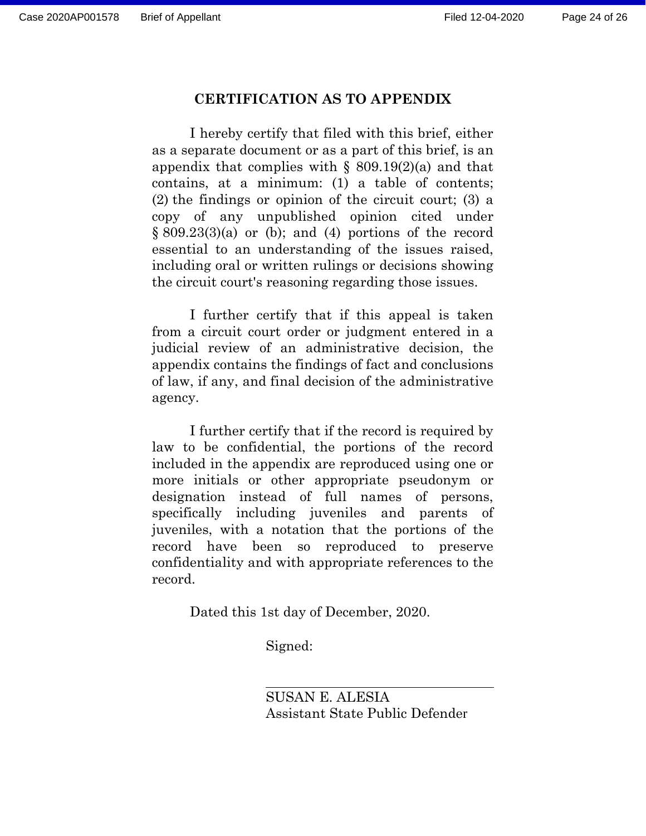#### **CERTIFICATION AS TO APPENDIX**

I hereby certify that filed with this brief, either as a separate document or as a part of this brief, is an appendix that complies with  $\S$  809.19(2)(a) and that contains, at a minimum: (1) a table of contents; (2) the findings or opinion of the circuit court; (3) a copy of any unpublished opinion cited under  $\S 809.23(3)(a)$  or (b); and (4) portions of the record essential to an understanding of the issues raised, including oral or written rulings or decisions showing the circuit court's reasoning regarding those issues.

I further certify that if this appeal is taken from a circuit court order or judgment entered in a judicial review of an administrative decision, the appendix contains the findings of fact and conclusions of law, if any, and final decision of the administrative agency.

I further certify that if the record is required by law to be confidential, the portions of the record included in the appendix are reproduced using one or more initials or other appropriate pseudonym or designation instead of full names of persons, specifically including juveniles and parents of juveniles, with a notation that the portions of the record have been so reproduced to preserve confidentiality and with appropriate references to the record.

Dated this 1st day of December, 2020.

Signed:

SUSAN E. ALESIA Assistant State Public Defender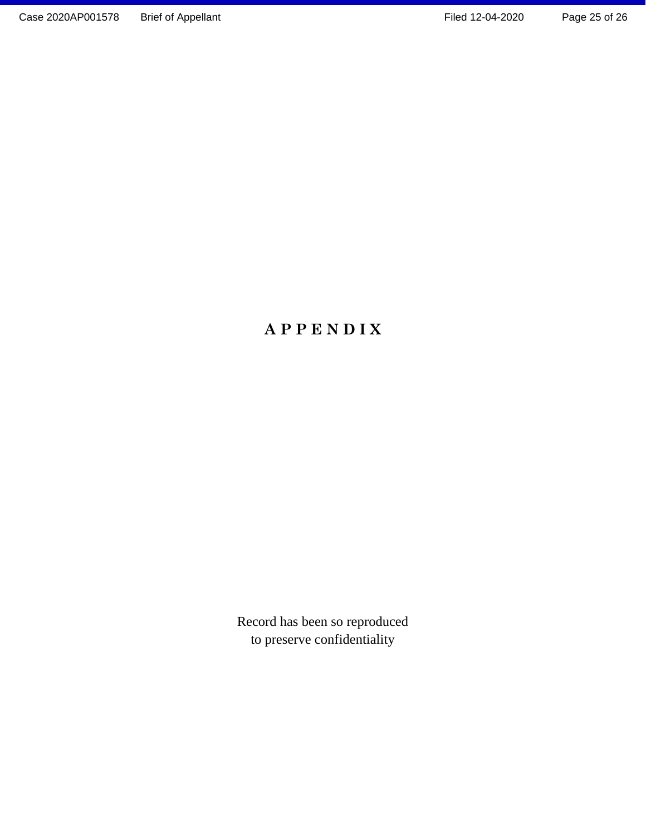# **A P P E N D I X**

Record has been so reproduced to preserve confidentiality